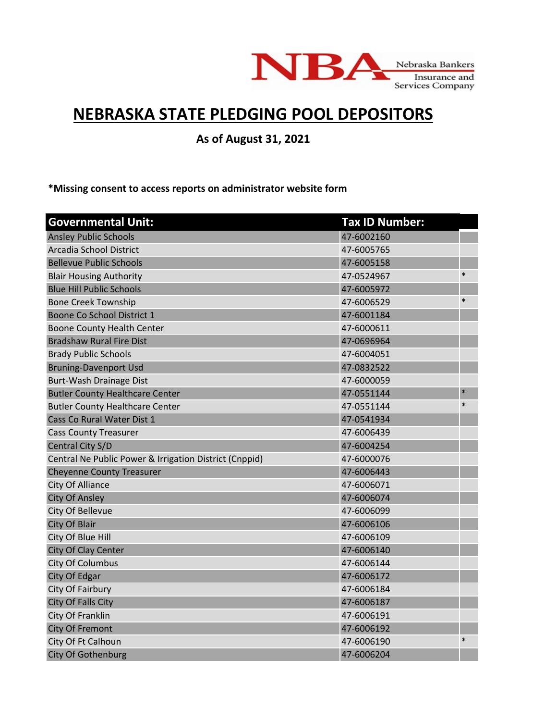

## **NEBRASKA STATE PLEDGING POOL DEPOSITORS**

**As of August 31, 2021**

**\*Missing consent to access reports on administrator website form**

| <b>Governmental Unit:</b>                              | <b>Tax ID Number:</b> |        |
|--------------------------------------------------------|-----------------------|--------|
| <b>Ansley Public Schools</b>                           | 47-6002160            |        |
| Arcadia School District                                | 47-6005765            |        |
| <b>Bellevue Public Schools</b>                         | 47-6005158            |        |
| <b>Blair Housing Authority</b>                         | 47-0524967            | $\ast$ |
| <b>Blue Hill Public Schools</b>                        | 47-6005972            |        |
| <b>Bone Creek Township</b>                             | 47-6006529            | $\ast$ |
| Boone Co School District 1                             | 47-6001184            |        |
| <b>Boone County Health Center</b>                      | 47-6000611            |        |
| <b>Bradshaw Rural Fire Dist</b>                        | 47-0696964            |        |
| <b>Brady Public Schools</b>                            | 47-6004051            |        |
| <b>Bruning-Davenport Usd</b>                           | 47-0832522            |        |
| Burt-Wash Drainage Dist                                | 47-6000059            |        |
| <b>Butler County Healthcare Center</b>                 | 47-0551144            | $\ast$ |
| <b>Butler County Healthcare Center</b>                 | 47-0551144            | $\ast$ |
| Cass Co Rural Water Dist 1                             | 47-0541934            |        |
| <b>Cass County Treasurer</b>                           | 47-6006439            |        |
| Central City S/D                                       | 47-6004254            |        |
| Central Ne Public Power & Irrigation District (Cnppid) | 47-6000076            |        |
| <b>Cheyenne County Treasurer</b>                       | 47-6006443            |        |
| City Of Alliance                                       | 47-6006071            |        |
| <b>City Of Ansley</b>                                  | 47-6006074            |        |
| City Of Bellevue                                       | 47-6006099            |        |
| City Of Blair                                          | 47-6006106            |        |
| City Of Blue Hill                                      | 47-6006109            |        |
| City Of Clay Center                                    | 47-6006140            |        |
| <b>City Of Columbus</b>                                | 47-6006144            |        |
| City Of Edgar                                          | 47-6006172            |        |
| City Of Fairbury                                       | 47-6006184            |        |
| City Of Falls City                                     | 47-6006187            |        |
| City Of Franklin                                       | 47-6006191            |        |
| <b>City Of Fremont</b>                                 | 47-6006192            |        |
| City Of Ft Calhoun                                     | 47-6006190            | $\ast$ |
| City Of Gothenburg                                     | 47-6006204            |        |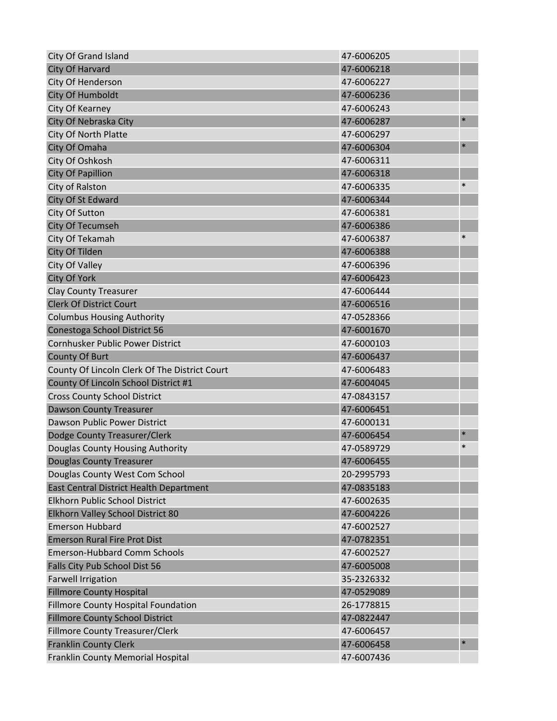| <b>City Of Grand Island</b>                   | 47-6006205 |        |
|-----------------------------------------------|------------|--------|
| City Of Harvard                               | 47-6006218 |        |
| City Of Henderson                             | 47-6006227 |        |
| <b>City Of Humboldt</b>                       | 47-6006236 |        |
| City Of Kearney                               | 47-6006243 |        |
| City Of Nebraska City                         | 47-6006287 | $\ast$ |
| City Of North Platte                          | 47-6006297 |        |
| City Of Omaha                                 | 47-6006304 | $\ast$ |
| City Of Oshkosh                               | 47-6006311 |        |
| <b>City Of Papillion</b>                      | 47-6006318 |        |
| City of Ralston                               | 47-6006335 | $\ast$ |
| City Of St Edward                             | 47-6006344 |        |
| City Of Sutton                                | 47-6006381 |        |
| <b>City Of Tecumseh</b>                       | 47-6006386 |        |
| City Of Tekamah                               | 47-6006387 | $\ast$ |
| City Of Tilden                                | 47-6006388 |        |
| City Of Valley                                | 47-6006396 |        |
| <b>City Of York</b>                           | 47-6006423 |        |
| <b>Clay County Treasurer</b>                  | 47-6006444 |        |
| <b>Clerk Of District Court</b>                | 47-6006516 |        |
| <b>Columbus Housing Authority</b>             | 47-0528366 |        |
| Conestoga School District 56                  | 47-6001670 |        |
| Cornhusker Public Power District              | 47-6000103 |        |
| <b>County Of Burt</b>                         | 47-6006437 |        |
| County Of Lincoln Clerk Of The District Court | 47-6006483 |        |
| County Of Lincoln School District #1          | 47-6004045 |        |
| <b>Cross County School District</b>           | 47-0843157 |        |
| <b>Dawson County Treasurer</b>                | 47-6006451 |        |
| Dawson Public Power District                  | 47-6000131 |        |
| Dodge County Treasurer/Clerk                  | 47-6006454 | $\ast$ |
| Douglas County Housing Authority              | 47-0589729 | $\ast$ |
| Douglas County Treasurer                      | 47-6006455 |        |
| Douglas County West Com School                | 20-2995793 |        |
| East Central District Health Department       | 47-0835183 |        |
| Elkhorn Public School District                | 47-6002635 |        |
| Elkhorn Valley School District 80             | 47-6004226 |        |
| <b>Emerson Hubbard</b>                        | 47-6002527 |        |
| <b>Emerson Rural Fire Prot Dist</b>           | 47-0782351 |        |
| <b>Emerson-Hubbard Comm Schools</b>           | 47-6002527 |        |
| Falls City Pub School Dist 56                 | 47-6005008 |        |
| <b>Farwell Irrigation</b>                     | 35-2326332 |        |
| <b>Fillmore County Hospital</b>               | 47-0529089 |        |
| Fillmore County Hospital Foundation           | 26-1778815 |        |
| <b>Fillmore County School District</b>        | 47-0822447 |        |
| Fillmore County Treasurer/Clerk               | 47-6006457 |        |
| <b>Franklin County Clerk</b>                  | 47-6006458 | $\ast$ |
| Franklin County Memorial Hospital             | 47-6007436 |        |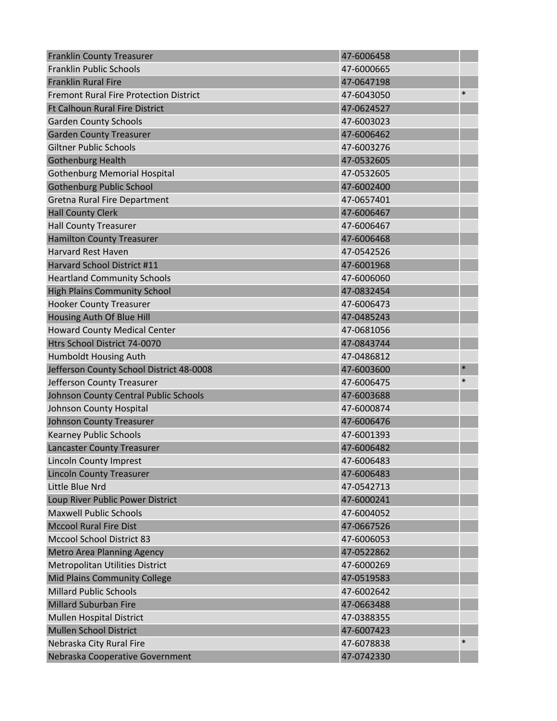| <b>Franklin County Treasurer</b>              | 47-6006458 |        |
|-----------------------------------------------|------------|--------|
| <b>Franklin Public Schools</b>                | 47-6000665 |        |
| <b>Franklin Rural Fire</b>                    | 47-0647198 |        |
| <b>Fremont Rural Fire Protection District</b> | 47-6043050 | $\ast$ |
| <b>Ft Calhoun Rural Fire District</b>         | 47-0624527 |        |
| <b>Garden County Schools</b>                  | 47-6003023 |        |
| <b>Garden County Treasurer</b>                | 47-6006462 |        |
| <b>Giltner Public Schools</b>                 | 47-6003276 |        |
| <b>Gothenburg Health</b>                      | 47-0532605 |        |
| <b>Gothenburg Memorial Hospital</b>           | 47-0532605 |        |
| <b>Gothenburg Public School</b>               | 47-6002400 |        |
| <b>Gretna Rural Fire Department</b>           | 47-0657401 |        |
| <b>Hall County Clerk</b>                      | 47-6006467 |        |
| <b>Hall County Treasurer</b>                  | 47-6006467 |        |
| <b>Hamilton County Treasurer</b>              | 47-6006468 |        |
| <b>Harvard Rest Haven</b>                     | 47-0542526 |        |
| Harvard School District #11                   | 47-6001968 |        |
| <b>Heartland Community Schools</b>            | 47-6006060 |        |
| <b>High Plains Community School</b>           | 47-0832454 |        |
| <b>Hooker County Treasurer</b>                | 47-6006473 |        |
| Housing Auth Of Blue Hill                     | 47-0485243 |        |
| <b>Howard County Medical Center</b>           | 47-0681056 |        |
| Htrs School District 74-0070                  | 47-0843744 |        |
| Humboldt Housing Auth                         | 47-0486812 |        |
| Jefferson County School District 48-0008      | 47-6003600 | $\ast$ |
| Jefferson County Treasurer                    | 47-6006475 | $\ast$ |
| Johnson County Central Public Schools         | 47-6003688 |        |
| Johnson County Hospital                       | 47-6000874 |        |
| <b>Johnson County Treasurer</b>               | 47-6006476 |        |
| <b>Kearney Public Schools</b>                 | 47-6001393 |        |
| <b>Lancaster County Treasurer</b>             | 47-6006482 |        |
| <b>Lincoln County Imprest</b>                 | 47-6006483 |        |
| <b>Lincoln County Treasurer</b>               | 47-6006483 |        |
| Little Blue Nrd                               | 47-0542713 |        |
| Loup River Public Power District              | 47-6000241 |        |
| <b>Maxwell Public Schools</b>                 | 47-6004052 |        |
| <b>Mccool Rural Fire Dist</b>                 | 47-0667526 |        |
| <b>Mccool School District 83</b>              | 47-6006053 |        |
| <b>Metro Area Planning Agency</b>             | 47-0522862 |        |
| Metropolitan Utilities District               | 47-6000269 |        |
| Mid Plains Community College                  | 47-0519583 |        |
| <b>Millard Public Schools</b>                 | 47-6002642 |        |
| <b>Millard Suburban Fire</b>                  | 47-0663488 |        |
| Mullen Hospital District                      | 47-0388355 |        |
| <b>Mullen School District</b>                 | 47-6007423 |        |
| Nebraska City Rural Fire                      | 47-6078838 | $\ast$ |
| Nebraska Cooperative Government               | 47-0742330 |        |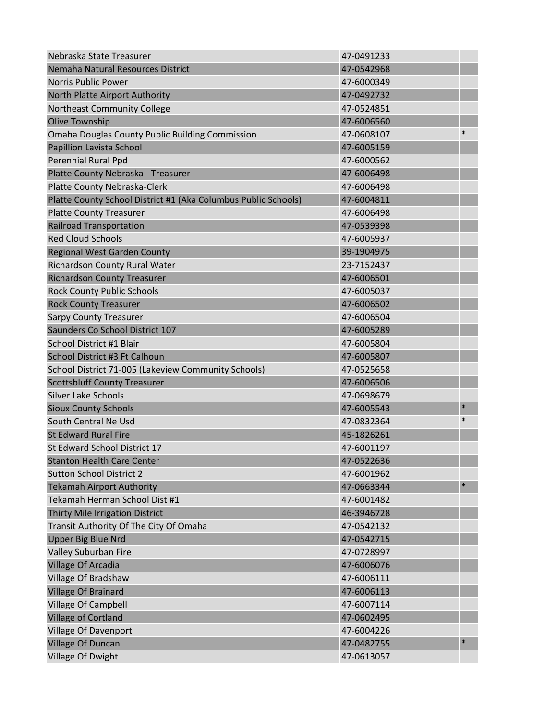| Nebraska State Treasurer                                       | 47-0491233 |        |
|----------------------------------------------------------------|------------|--------|
| Nemaha Natural Resources District                              | 47-0542968 |        |
| <b>Norris Public Power</b>                                     | 47-6000349 |        |
| North Platte Airport Authority                                 | 47-0492732 |        |
| Northeast Community College                                    | 47-0524851 |        |
| <b>Olive Township</b>                                          | 47-6006560 |        |
| Omaha Douglas County Public Building Commission                | 47-0608107 | $\ast$ |
| Papillion Lavista School                                       | 47-6005159 |        |
| Perennial Rural Ppd                                            | 47-6000562 |        |
| Platte County Nebraska - Treasurer                             | 47-6006498 |        |
| Platte County Nebraska-Clerk                                   | 47-6006498 |        |
| Platte County School District #1 (Aka Columbus Public Schools) | 47-6004811 |        |
| <b>Platte County Treasurer</b>                                 | 47-6006498 |        |
| <b>Railroad Transportation</b>                                 | 47-0539398 |        |
| <b>Red Cloud Schools</b>                                       | 47-6005937 |        |
| <b>Regional West Garden County</b>                             | 39-1904975 |        |
| Richardson County Rural Water                                  | 23-7152437 |        |
| <b>Richardson County Treasurer</b>                             | 47-6006501 |        |
| <b>Rock County Public Schools</b>                              | 47-6005037 |        |
| <b>Rock County Treasurer</b>                                   | 47-6006502 |        |
| <b>Sarpy County Treasurer</b>                                  | 47-6006504 |        |
| Saunders Co School District 107                                | 47-6005289 |        |
| School District #1 Blair                                       | 47-6005804 |        |
| School District #3 Ft Calhoun                                  | 47-6005807 |        |
| School District 71-005 (Lakeview Community Schools)            | 47-0525658 |        |
| <b>Scottsbluff County Treasurer</b>                            | 47-6006506 |        |
| <b>Silver Lake Schools</b>                                     | 47-0698679 |        |
| <b>Sioux County Schools</b>                                    | 47-6005543 | $\ast$ |
| South Central Ne Usd                                           | 47-0832364 | $\ast$ |
| <b>St Edward Rural Fire</b>                                    | 45-1826261 |        |
| St Edward School District 17                                   | 47-6001197 |        |
| <b>Stanton Health Care Center</b>                              | 47-0522636 |        |
| <b>Sutton School District 2</b>                                | 47-6001962 |        |
| <b>Tekamah Airport Authority</b>                               | 47-0663344 | $\ast$ |
| Tekamah Herman School Dist #1                                  | 47-6001482 |        |
| Thirty Mile Irrigation District                                | 46-3946728 |        |
| Transit Authority Of The City Of Omaha                         | 47-0542132 |        |
| <b>Upper Big Blue Nrd</b>                                      | 47-0542715 |        |
| Valley Suburban Fire                                           | 47-0728997 |        |
| <b>Village Of Arcadia</b>                                      | 47-6006076 |        |
| Village Of Bradshaw                                            | 47-6006111 |        |
| Village Of Brainard                                            | 47-6006113 |        |
| Village Of Campbell                                            | 47-6007114 |        |
| Village of Cortland                                            | 47-0602495 |        |
| Village Of Davenport                                           | 47-6004226 |        |
| Village Of Duncan                                              | 47-0482755 | $\ast$ |
| Village Of Dwight                                              | 47-0613057 |        |